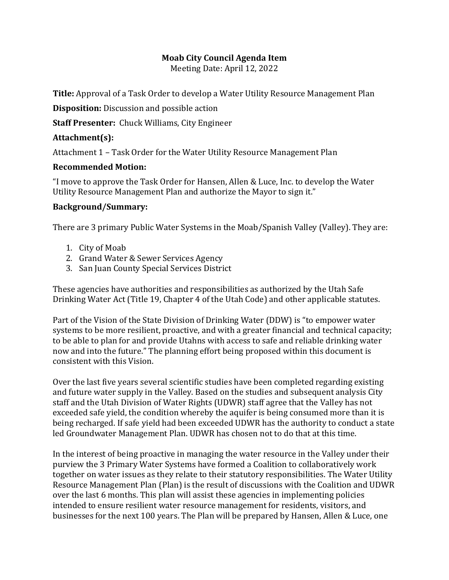## **Moab City Council Agenda Item**

Meeting Date: April 12, 2022

**Title:** Approval of a Task Order to develop a Water Utility Resource Management Plan

**Disposition:** Discussion and possible action

**Staff Presenter:** Chuck Williams, City Engineer

## **Attachment(s):**

Attachment 1 – Task Order for the Water Utility Resource Management Plan

## **Recommended Motion:**

"I move to approve the Task Order for Hansen, Allen & Luce, Inc. to develop the Water Utility Resource Management Plan and authorize the Mayor to sign it."

## **Background/Summary:**

There are 3 primary Public Water Systems in the Moab/Spanish Valley (Valley). They are:

- 1. City of Moab
- 2. Grand Water & Sewer Services Agency
- 3. San Juan County Special Services District

These agencies have authorities and responsibilities as authorized by the Utah Safe Drinking Water Act (Title 19, Chapter 4 of the Utah Code) and other applicable statutes.

Part of the Vision of the State Division of Drinking Water (DDW) is "to empower water systems to be more resilient, proactive, and with a greater financial and technical capacity; to be able to plan for and provide Utahns with access to safe and reliable drinking water now and into the future." The planning effort being proposed within this document is consistent with this Vision.

Over the last five years several scientific studies have been completed regarding existing and future water supply in the Valley. Based on the studies and subsequent analysis City staff and the Utah Division of Water Rights (UDWR) staff agree that the Valley has not exceeded safe yield, the condition whereby the aquifer is being consumed more than it is being recharged. If safe yield had been exceeded UDWR has the authority to conduct a state led Groundwater Management Plan. UDWR has chosen not to do that at this time.

In the interest of being proactive in managing the water resource in the Valley under their purview the 3 Primary Water Systems have formed a Coalition to collaboratively work together on water issues as they relate to their statutory responsibilities. The Water Utility Resource Management Plan (Plan) is the result of discussions with the Coalition and UDWR over the last 6 months. This plan will assist these agencies in implementing policies intended to ensure resilient water resource management for residents, visitors, and businesses for the next 100 years. The Plan will be prepared by Hansen, Allen & Luce, one